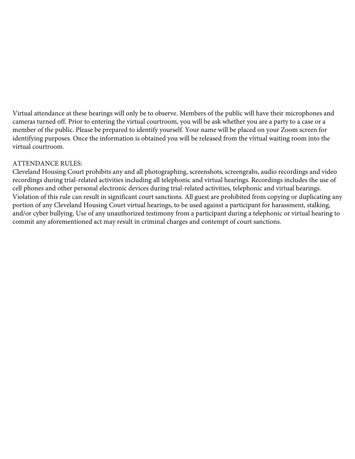Virtual attendance at these hearings will only be to observe. Members of the public will have their microphones and cameras turned off. Prior to entering the virtual courtroom, you will be ask whether you are a party to a case or a member of the public. Please be prepared to identify yourself. Your name will be placed on your Zoom screen for identifying purposes. Once the information is obtained you will be released from the virtual waiting room into the virtual courtroom.

#### ATTENDANCE RULES:

Cleveland Housing Court prohibits any and all photographing, screenshots, screengrabs, audio recordings and video recordings during trial-related activities including all telephonic and virtual hearings. Recordings includes the use of cell phones and other personal electronic devices during trial-related activities, telephonic and virtual hearings. Violation of this rule can result in significant court sanctions. All guest are prohibited from copying or duplicating any portion of any Cleveland Housing Court virtual hearings, to be used against a participant for harassment, stalking, and/or cyber bullying. Use of any unauthorized testimony from a participant during a telephonic or virtual hearing to commit any aforementioned act may result in criminal charges and contempt of court sanctions.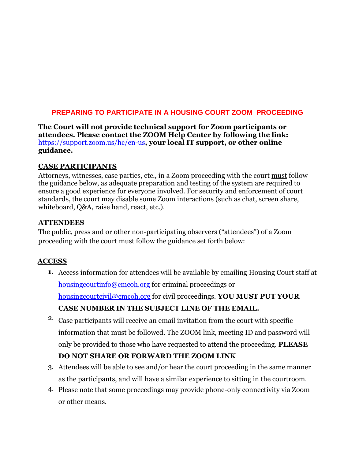### **PREPARING TO PARTICIPATE IN A HOUSING COURT ZOOM PROCEEDING**

**The Court will not provide technical support for Zoom participants or attendees. Please contact the ZOOM Help Center by following the link:**  https://support.zoom.us/hc/en-us**, your local IT support, or other online [guidance.](https://support.zoom.us/hc/en-us)** 

# **CASE PARTICIPANTS**

Attorneys, witnesses, case parties, etc., in a Zoom proceeding with the court must follow the guidance below, as adequate preparation and testing of the system are required to ensure a good experience for everyone involved. For security and enforcement of court standards, the court may disable some Zoom interactions (such as chat, screen share, whiteboard, Q&A, raise hand, react, etc.).

### **ATTENDEES**

The public, press and or other non-participating observers ("attendees") of a Zoom proceeding with the court must follow the guidance set forth below:

# **ACCESS**

**1.** Access information for attendees will be available by emailing Housing Court staff at housingcourtinfo@cmcoh.org for criminal proceedings or [housingcourtcivil@cmcoh.org](mailto:housingcourtinfo@cmcoh.org) for civil proceedings. **YOU MUST PUT YOUR**

# **[CASE NUMBER IN THE SU](mailto:housingcourtcivil@cmcoh.org)BJECT LINE OF THE EMAIL.**

2. Case participants will receive an email invitation from the court with specific information that must be followed. The ZOOM link, meeting ID and password will only be provided to those who have requested to attend the proceeding. **PLEASE**

# **DO NOT SHARE OR FORWARD THE ZOOM LINK**

- 3. Attendees will be able to see and/or hear the court proceeding in the same manner as the participants, and will have a similar experience to sitting in the courtroom.
- 4. Please note that some proceedings may provide phone-only connectivity via Zoom or other means.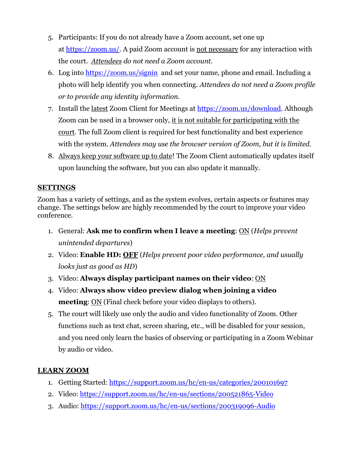- 5. Participants: If you do not already have a Zoom account, set one up at [https://zoom.us/.](https://zoom.us/) A paid Zoom account is not necessary for any interaction with the court. *Attendees do not need a Zoom account.*
- 6. Log into <https://zoom.us/signin>and set your name, phone and email. Including a photo will help identify you when connecting. *Attendees do not need a Zoom profile or to provide any identity information.*
- 7. Install the latest Zoom Client for Meetings at [https://zoom.us/download.](https://zoom.us/download) Although Zoom can be used in a browser only, it is not suitable for participating with the court. The full Zoom client is required for best functionality and best experience with the system. *Attendees may use the browser version of Zoom, but it is limited.*
- 8. Always keep your software up to date! The Zoom Client automatically updates itself upon launching the software, but you can also update it manually.

# **SETTINGS**

Zoom has a variety of settings, and as the system evolves, certain aspects or features may change. The settings below are highly recommended by the court to improve your video conference.

- 1. General: **Ask me to confirm when I leave a meeting**: ON (*Helps prevent unintended departures*)
- 2. Video: **Enable HD: OFF** (*Helps prevent poor video performance, and usually looks just as good as HD*)
- 3. Video: **Always display participant names on their video**: ON
- 4. Video: **Always show video preview dialog when joining a video meeting**: ON (Final check before your video displays to others).
- 5. The court will likely use only the audio and video functionality of Zoom. Other functions such as text chat, screen sharing, etc., will be disabled for your session, and you need only learn the basics of observing or participating in a Zoom Webinar by audio or video.

### **LEARN ZOOM**

- 1. Getting Started:<https://support.zoom.us/hc/en-us/categories/200101697>
- 2. Video: <https://support.zoom.us/hc/en-us/sections/200521865-Video>
- 3. Audio: <https://support.zoom.us/hc/en-us/sections/200319096-Audio>